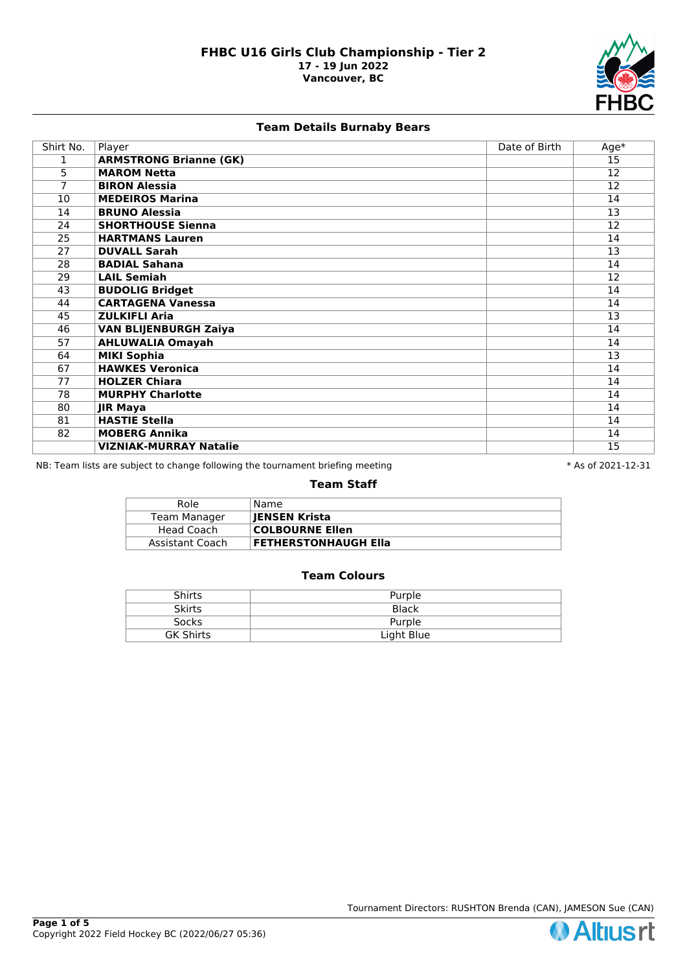

# **Team Details Burnaby Bears**

| Shirt No.      | Player                        | Date of Birth | Age*            |
|----------------|-------------------------------|---------------|-----------------|
| 1              | <b>ARMSTRONG Brianne (GK)</b> |               | 15              |
| 5              | <b>MAROM Netta</b>            |               | $\overline{12}$ |
| $\overline{7}$ | <b>BIRON Alessia</b>          |               | 12              |
| 10             | <b>MEDEIROS Marina</b>        |               | 14              |
| 14             | <b>BRUNO Alessia</b>          |               | 13              |
| 24             | <b>SHORTHOUSE Sienna</b>      |               | 12              |
| 25             | <b>HARTMANS Lauren</b>        |               | 14              |
| 27             | <b>DUVALL Sarah</b>           |               | 13              |
| 28             | <b>BADIAL Sahana</b>          |               | 14              |
| 29             | <b>LAIL Semiah</b>            |               | 12              |
| 43             | <b>BUDOLIG Bridget</b>        |               | 14              |
| 44             | <b>CARTAGENA Vanessa</b>      |               | 14              |
| 45             | <b>ZULKIFLI Aria</b>          |               | $\overline{13}$ |
| 46             | <b>VAN BLIJENBURGH Zaiya</b>  |               | 14              |
| 57             | <b>AHLUWALIA Omayah</b>       |               | 14              |
| 64             | <b>MIKI Sophia</b>            |               | 13              |
| 67             | <b>HAWKES Veronica</b>        |               | 14              |
| 77             | <b>HOLZER Chiara</b>          |               | 14              |
| 78             | <b>MURPHY Charlotte</b>       |               | 14              |
| 80             | <b>JIR Maya</b>               |               | 14              |
| 81             | <b>HASTIE Stella</b>          |               | 14              |
| 82             | <b>MOBERG Annika</b>          |               | 14              |
|                | <b>VIZNIAK-MURRAY Natalie</b> |               | 15              |

NB: Team lists are subject to change following the tournament briefing meeting **the subset of 2021-12-31** \* As of 2021-12-31

#### **Team Staff**

| Role            | Name                   |
|-----------------|------------------------|
| Team Manager    | JENSEN Krista          |
| Head Coach      | <b>COLBOURNE Ellen</b> |
| Assistant Coach | FETHERSTONHAUGH Ella   |

| <b>Shirts</b>    | Purple     |
|------------------|------------|
| <b>Skirts</b>    | Black      |
| Socks            | Purple     |
| <b>GK Shirts</b> | Light Blue |



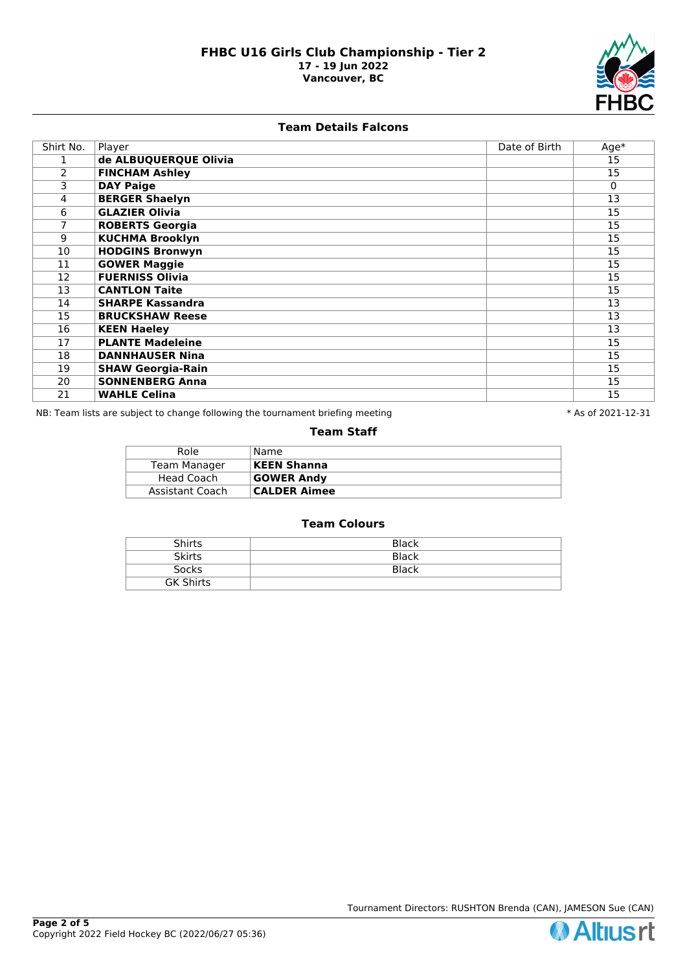

### **Team Details Falcons**

| Shirt No. | Player                   | Date of Birth | $Age*$   |
|-----------|--------------------------|---------------|----------|
|           | de ALBUQUERQUE Olivia    |               | 15       |
| 2         | <b>FINCHAM Ashley</b>    |               | 15       |
| 3         | <b>DAY Paige</b>         |               | $\Omega$ |
| 4         | <b>BERGER Shaelyn</b>    |               | 13       |
| 6         | <b>GLAZIER Olivia</b>    |               | 15       |
| 7         | <b>ROBERTS Georgia</b>   |               | 15       |
| 9         | <b>KUCHMA Brooklyn</b>   |               | 15       |
| 10        | <b>HODGINS Bronwyn</b>   |               | 15       |
| 11        | <b>GOWER Maggie</b>      |               | 15       |
| 12        | <b>FUERNISS Olivia</b>   |               | 15       |
| 13        | <b>CANTLON Taite</b>     |               | 15       |
| 14        | <b>SHARPE Kassandra</b>  |               | 13       |
| 15        | <b>BRUCKSHAW Reese</b>   |               | 13       |
| 16        | <b>KEEN Haeley</b>       |               | 13       |
| 17        | <b>PLANTE Madeleine</b>  |               | 15       |
| 18        | <b>DANNHAUSER Nina</b>   |               | 15       |
| 19        | <b>SHAW Georgia-Rain</b> |               | 15       |
| 20        | <b>SONNENBERG Anna</b>   |               | 15       |
| 21        | <b>WAHLE Celina</b>      |               | 15       |

NB: Team lists are subject to change following the tournament briefing meeting **the set of 2021-12-31** \* As of 2021-12-31

## **Team Staff**

| Role            | Name                |
|-----------------|---------------------|
| Team Manager    | <b>KEEN Shanna</b>  |
| Head Coach      | <b>GOWER Andy</b>   |
| Assistant Coach | <b>CALDER Aimee</b> |

| <b>Shirts</b>    | <b>Black</b> |
|------------------|--------------|
| <b>Skirts</b>    | Black        |
| <b>Socks</b>     | <b>Black</b> |
| <b>GK Shirts</b> |              |

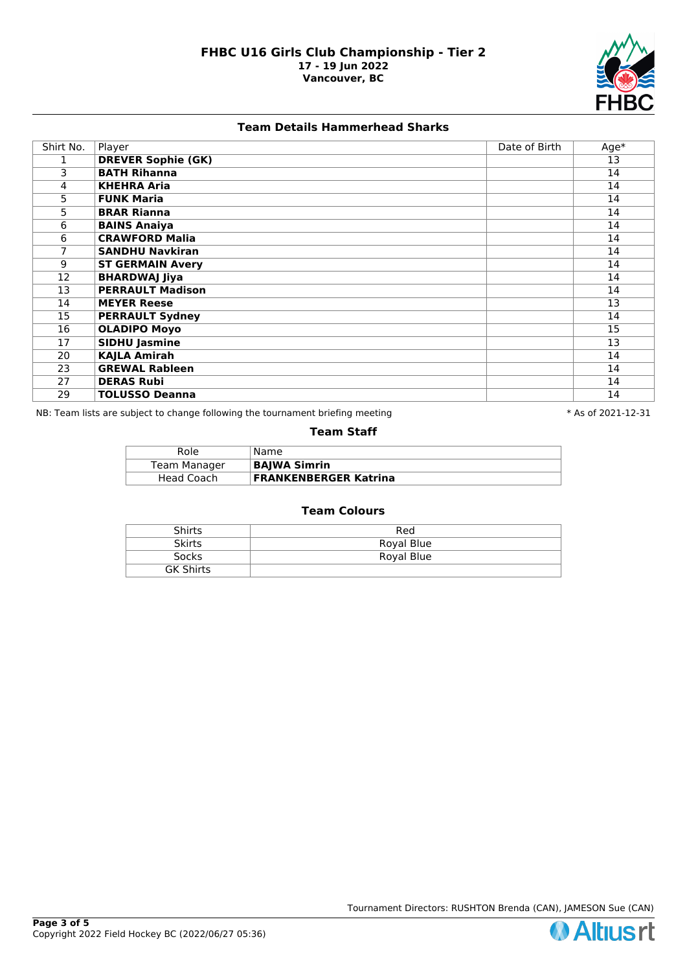

# **Team Details Hammerhead Sharks**

| Shirt No. | Player                    | Date of Birth | $Age*$ |
|-----------|---------------------------|---------------|--------|
|           | <b>DREVER Sophie (GK)</b> |               | 13     |
| 3         | <b>BATH Rihanna</b>       |               | 14     |
| 4         | <b>KHEHRA Aria</b>        |               | 14     |
| 5         | <b>FUNK Maria</b>         |               | 14     |
| 5         | <b>BRAR Rianna</b>        |               | 14     |
| 6         | <b>BAINS Anaiya</b>       |               | 14     |
| 6         | <b>CRAWFORD Malia</b>     |               | 14     |
| 7         | <b>SANDHU Navkiran</b>    |               | 14     |
| 9         | <b>ST GERMAIN Avery</b>   |               | 14     |
| 12        | <b>BHARDWAJ Jiya</b>      |               | 14     |
| 13        | <b>PERRAULT Madison</b>   |               | 14     |
| 14        | <b>MEYER Reese</b>        |               | 13     |
| 15        | <b>PERRAULT Sydney</b>    |               | 14     |
| 16        | <b>OLADIPO Moyo</b>       |               | 15     |
| 17        | <b>SIDHU Jasmine</b>      |               | 13     |
| 20        | <b>KAJLA Amirah</b>       |               | 14     |
| 23        | <b>GREWAL Rableen</b>     |               | 14     |
| 27        | <b>DERAS Rubi</b>         |               | 14     |
| 29        | <b>TOLUSSO Deanna</b>     |               | 14     |

NB: Team lists are subject to change following the tournament briefing meeting **the set of 2021-12-31** \* As of 2021-12-31

## **Team Staff**

| Role         | Name                         |
|--------------|------------------------------|
| Team Manager | <b>BAJWA Simrin</b>          |
| Head Coach   | <b>FRANKENBERGER Katrina</b> |

| <b>Shirts</b>    | Red        |
|------------------|------------|
| <b>Skirts</b>    | Royal Blue |
| Socks            | Royal Blue |
| <b>GK Shirts</b> |            |



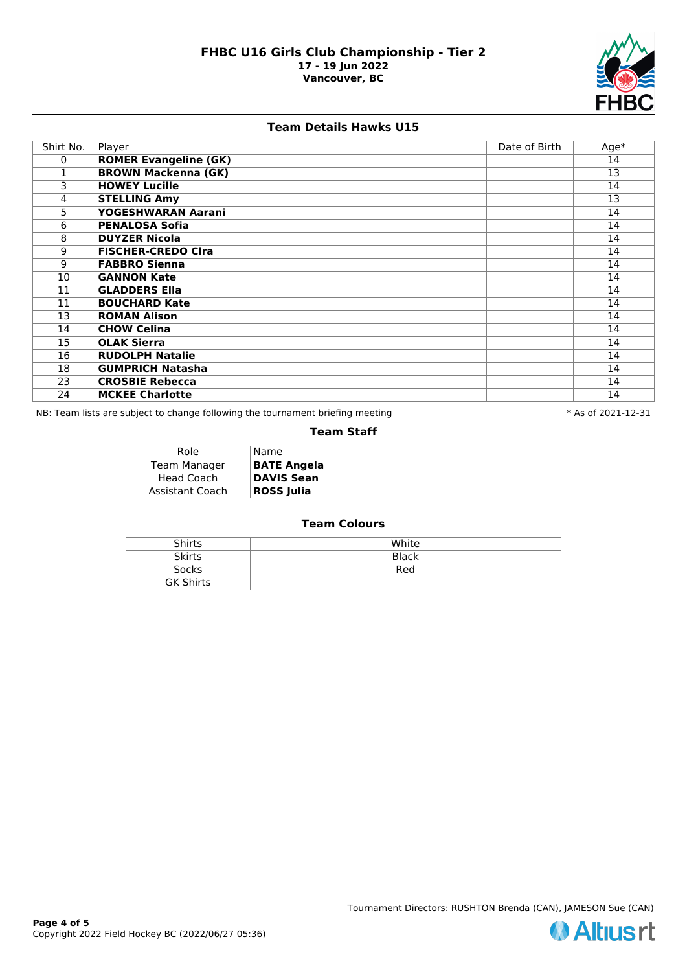

## **Team Details Hawks U15**

| Shirt No. | Player                       | Date of Birth | $Age*$ |
|-----------|------------------------------|---------------|--------|
| 0         | <b>ROMER Evangeline (GK)</b> |               | 14     |
|           | <b>BROWN Mackenna (GK)</b>   |               | 13     |
| 3         | <b>HOWEY Lucille</b>         |               | 14     |
| 4         | <b>STELLING Amy</b>          |               | 13     |
| 5         | YOGESHWARAN Aarani           |               | 14     |
| 6         | <b>PENALOSA Sofia</b>        |               | 14     |
| 8         | <b>DUYZER Nicola</b>         |               | 14     |
| 9         | <b>FISCHER-CREDO CIra</b>    |               | 14     |
| 9         | <b>FABBRO Sienna</b>         |               | 14     |
| 10        | <b>GANNON Kate</b>           |               | 14     |
| 11        | <b>GLADDERS Ella</b>         |               | 14     |
| 11        | <b>BOUCHARD Kate</b>         |               | 14     |
| 13        | <b>ROMAN Alison</b>          |               | 14     |
| 14        | <b>CHOW Celina</b>           |               | 14     |
| 15        | <b>OLAK Sierra</b>           |               | 14     |
| 16        | <b>RUDOLPH Natalie</b>       |               | 14     |
| 18        | <b>GUMPRICH Natasha</b>      |               | 14     |
| 23        | <b>CROSBIE Rebecca</b>       |               | 14     |
| 24        | <b>MCKEE Charlotte</b>       |               | 14     |

NB: Team lists are subject to change following the tournament briefing meeting **the set of 2021-12-31** \* As of 2021-12-31

#### **Team Staff**

| Name               |
|--------------------|
| <b>BATE Angela</b> |
| <b>DAVIS Sean</b>  |
| <b>ROSS Julia</b>  |
|                    |

| <b>Shirts</b>    | White |
|------------------|-------|
| <b>Skirts</b>    | Black |
| <b>Socks</b>     | Red   |
| <b>GK Shirts</b> |       |